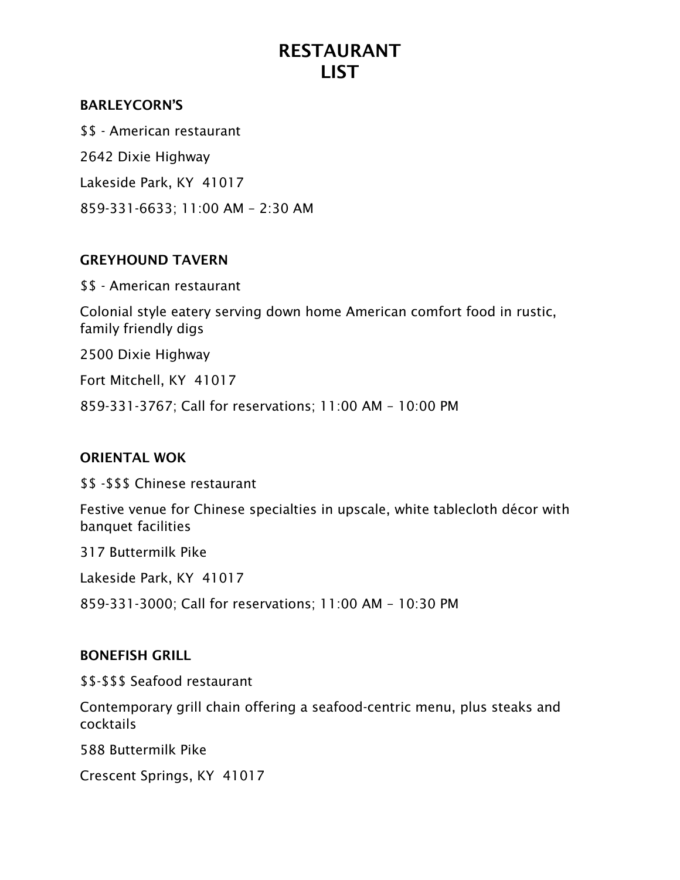## BARLEYCORN'S

\$\$ - American restaurant 2642 Dixie Highway Lakeside Park, KY 41017 859-331-6633; 11:00 AM – 2:30 AM

#### GREYHOUND TAVERN

\$\$ - American restaurant

Colonial style eatery serving down home American comfort food in rustic, family friendly digs

2500 Dixie Highway

Fort Mitchell, KY 41017

859-331-3767; Call for reservations; 11:00 AM – 10:00 PM

## ORIENTAL WOK

\$\$ -\$\$\$ Chinese restaurant

Festive venue for Chinese specialties in upscale, white tablecloth décor with banquet facilities

317 Buttermilk Pike

Lakeside Park, KY 41017

859-331-3000; Call for reservations; 11:00 AM – 10:30 PM

#### BONEFISH GRILL

\$\$-\$\$\$ Seafood restaurant

Contemporary grill chain offering a seafood-centric menu, plus steaks and cocktails

588 Buttermilk Pike

Crescent Springs, KY 41017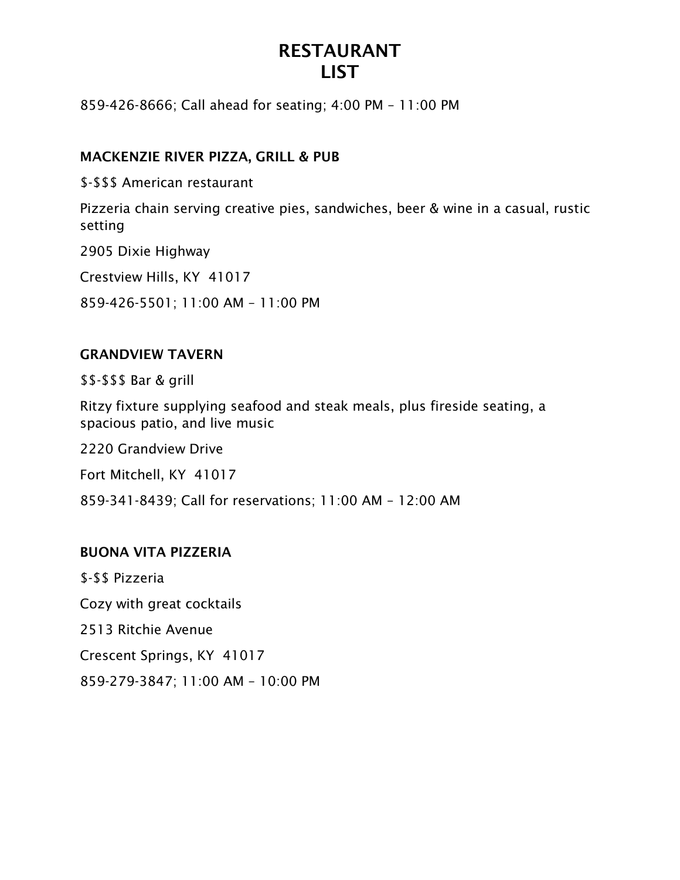859-426-8666; Call ahead for seating; 4:00 PM – 11:00 PM

### MACKENZIE RIVER PIZZA, GRILL & PUB

\$-\$\$\$ American restaurant

Pizzeria chain serving creative pies, sandwiches, beer & wine in a casual, rustic setting

2905 Dixie Highway

Crestview Hills, KY 41017

859-426-5501; 11:00 AM – 11:00 PM

## GRANDVIEW TAVERN

\$\$-\$\$\$ Bar & grill

Ritzy fixture supplying seafood and steak meals, plus fireside seating, a spacious patio, and live music

2220 Grandview Drive

Fort Mitchell, KY 41017

859-341-8439; Call for reservations; 11:00 AM – 12:00 AM

#### BUONA VITA PIZZERIA

\$-\$\$ Pizzeria Cozy with great cocktails 2513 Ritchie Avenue Crescent Springs, KY 41017 859-279-3847; 11:00 AM – 10:00 PM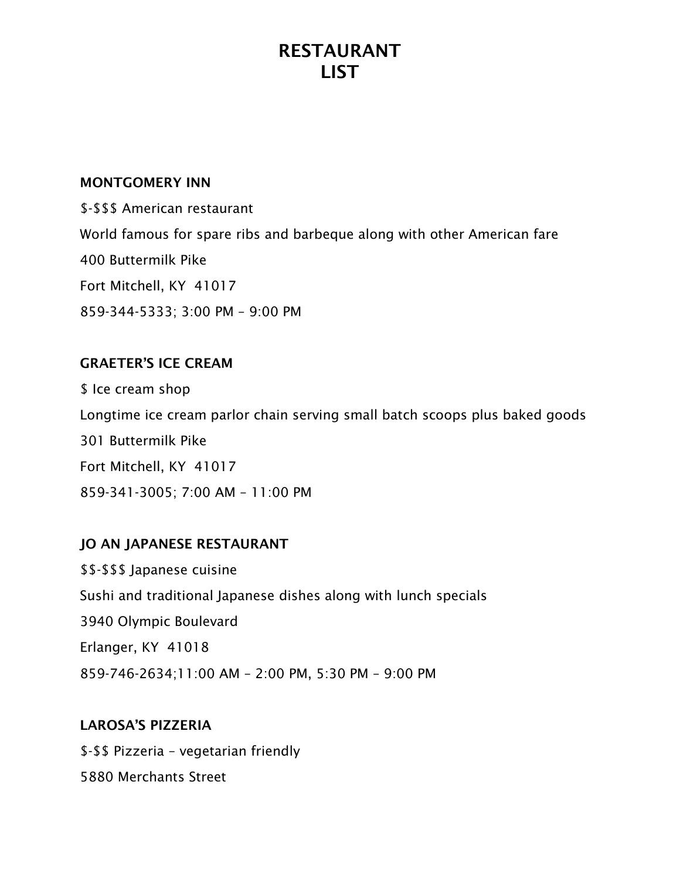#### MONTGOMERY INN

\$-\$\$\$ American restaurant World famous for spare ribs and barbeque along with other American fare 400 Buttermilk Pike Fort Mitchell, KY 41017 859-344-5333; 3:00 PM – 9:00 PM

## GRAETER'S ICE CREAM

\$ Ice cream shop Longtime ice cream parlor chain serving small batch scoops plus baked goods 301 Buttermilk Pike Fort Mitchell, KY 41017 859-341-3005; 7:00 AM – 11:00 PM

## JO AN JAPANESE RESTAURANT

\$\$-\$\$\$ Japanese cuisine Sushi and traditional Japanese dishes along with lunch specials 3940 Olympic Boulevard Erlanger, KY 41018 859-746-2634;11:00 AM – 2:00 PM, 5:30 PM – 9:00 PM

#### LAROSA'S PIZZERIA

\$-\$\$ Pizzeria – vegetarian friendly 5880 Merchants Street